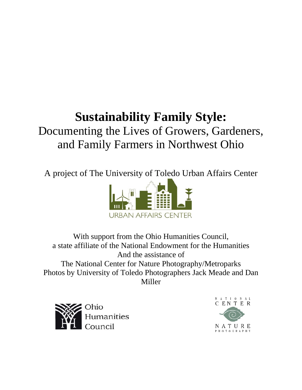# **Sustainability Family Style:**  Documenting the Lives of Growers, Gardeners, and Family Farmers in Northwest Ohio

A project of The University of Toledo Urban Affairs Center



With support from the Ohio Humanities Council, a state affiliate of the National Endowment for the Humanities And the assistance of The National Center for Nature Photography/Metroparks Photos by University of Toledo Photographers Jack Meade and Dan Miller



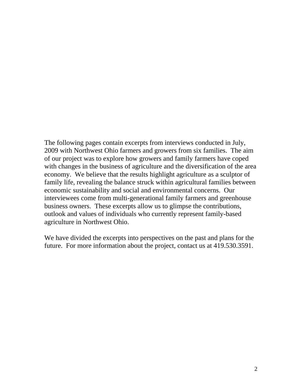The following pages contain excerpts from interviews conducted in July, 2009 with Northwest Ohio farmers and growers from six families. The aim of our project was to explore how growers and family farmers have coped with changes in the business of agriculture and the diversification of the area economy. We believe that the results highlight agriculture as a sculptor of family life, revealing the balance struck within agricultural families between economic sustainability and social and environmental concerns. Our interviewees come from multi-generational family farmers and greenhouse business owners. These excerpts allow us to glimpse the contributions, outlook and values of individuals who currently represent family-based agriculture in Northwest Ohio.

We have divided the excerpts into perspectives on the past and plans for the future. For more information about the project, contact us at 419.530.3591.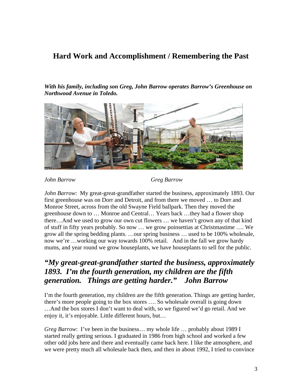### **Hard Work and Accomplishment / Remembering the Past**

*With his family, including son Greg, John Barrow operates Barrow's Greenhouse on Northwood Avenue in Toledo.* 



*John Barrow Greg Barrow* 

*John Barrow*: My great-great-grandfather started the business, approximately 1893. Our first greenhouse was on Dorr and Detroit, and from there we moved … to Dorr and Monroe Street, across from the old Swayne Field ballpark. Then they moved the greenhouse down to … Monroe and Central… Years back …they had a flower shop there…And we used to grow our own cut flowers … we haven't grown any of that kind of stuff in fifty years probably. So now … we grow poinsettias at Christmastime …. We grow all the spring bedding plants. …our spring business … used to be 100% wholesale, now we're …working our way towards 100% retail. And in the fall we grow hardy mums, and year round we grow houseplants, we have houseplants to sell for the public.

# *"My great-great-grandfather started the business, approximately 1893. I'm the fourth generation, my children are the fifth generation. Things are getting harder." John Barrow*

I'm the fourth generation, my children are the fifth generation. Things are getting harder, there's more people going to the box stores …. So wholesale overall is going down …And the box stores I don't want to deal with, so we figured we'd go retail. And we enjoy it, it's enjoyable. Little different hours, but…

*Greg Barrow*: I've been in the business... my whole life ... probably about 1989 I started really getting serious. I graduated in 1986 from high school and worked a few other odd jobs here and there and eventually came back here. I like the atmosphere, and we were pretty much all wholesale back then, and then in about 1992, I tried to convince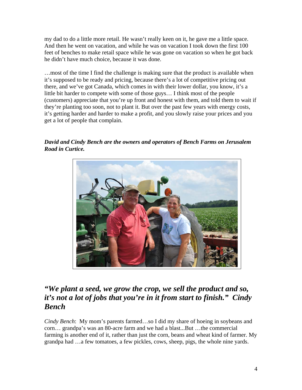my dad to do a little more retail. He wasn't really keen on it, he gave me a little space. And then he went on vacation, and while he was on vacation I took down the first 100 feet of benches to make retail space while he was gone on vacation so when he got back he didn't have much choice, because it was done.

…most of the time I find the challenge is making sure that the product is available when it's supposed to be ready and pricing, because there's a lot of competitive pricing out there, and we've got Canada, which comes in with their lower dollar, you know, it's a little bit harder to compete with some of those guys… I think most of the people (customers) appreciate that you're up front and honest with them, and told them to wait if they're planting too soon, not to plant it. But over the past few years with energy costs, it's getting harder and harder to make a profit, and you slowly raise your prices and you get a lot of people that complain.

*David and Cindy Bench are the owners and operators of Bench Farms on Jerusalem Road in Curtice.* 



# *"We plant a seed, we grow the crop, we sell the product and so, it's not a lot of jobs that you're in it from start to finish." Cindy Bench*

*Cindy Bench*: My mom's parents farmed…so I did my share of hoeing in soybeans and corn… grandpa's was an 80-acre farm and we had a blast...But …the commercial farming is another end of it, rather than just the corn, beans and wheat kind of farmer. My grandpa had …a few tomatoes, a few pickles, cows, sheep, pigs, the whole nine yards.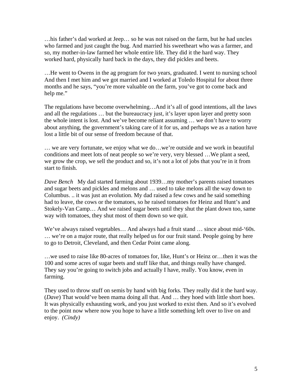…his father's dad worked at Jeep… so he was not raised on the farm, but he had uncles who farmed and just caught the bug. And married his sweetheart who was a farmer, and so, my mother-in-law farmed her whole entire life. They did it the hard way. They worked hard, physically hard back in the days, they did pickles and beets.

…He went to Owens in the ag program for two years, graduated. I went to nursing school And then I met him and we got married and I worked at Toledo Hospital for about three months and he says, "you're more valuable on the farm, you've got to come back and help me."

The regulations have become overwhelming…And it's all of good intentions, all the laws and all the regulations … but the bureaucracy just, it's layer upon layer and pretty soon the whole intent is lost. And we've become reliant assuming … we don't have to worry about anything, the government's taking care of it for us, and perhaps we as a nation have lost a little bit of our sense of freedom because of that.

… we are very fortunate, we enjoy what we do…we're outside and we work in beautiful conditions and meet lots of neat people so we're very, very blessed …We plant a seed, we grow the crop, we sell the product and so, it's not a lot of jobs that you're in it from start to finish.

*Dave Bench* My dad started farming about 1939…my mother's parents raised tomatoes and sugar beets and pickles and melons and … used to take melons all the way down to Columbus. .. it was just an evolution. My dad raised a few cows and he said something had to leave, the cows or the tomatoes, so he raised tomatoes for Heinz and Hunt's and Stokely-Van Camp… And we raised sugar beets until they shut the plant down too, same way with tomatoes, they shut most of them down so we quit.

We've always raised vegetables... And always had a fruit stand ... since about mid-'60s. … we're on a major route, that really helped us for our fruit stand. People going by here to go to Detroit, Cleveland, and then Cedar Point came along.

…we used to raise like 80-acres of tomatoes for, like, Hunt's or Heinz or…then it was the 100 and some acres of sugar beets and stuff like that, and things really have changed. They say you're going to switch jobs and actually I have, really. You know, even in farming.

They used to throw stuff on semis by hand with big forks. They really did it the hard way. (*Dave*) That would've been mama doing all that. And … they hoed with little short hoes. It was physically exhausting work, and you just worked to exist then. And so it's evolved to the point now where now you hope to have a little something left over to live on and enjoy. *(Cindy)*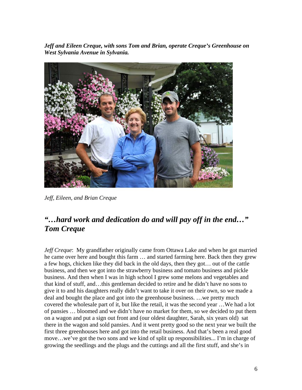*Jeff and Eileen Creque, with sons Tom and Brian, operate Creque's Greenhouse on West Sylvania Avenue in Sylvania.* 



*Jeff, Eileen, and Brian Creque* 

# *"…hard work and dedication do and will pay off in the end…" Tom Creque*

*Jeff Creque*: My grandfather originally came from Ottawa Lake and when he got married he came over here and bought this farm … and started farming here. Back then they grew a few hogs, chicken like they did back in the old days, then they got… out of the cattle business, and then we got into the strawberry business and tomato business and pickle business. And then when I was in high school I grew some melons and vegetables and that kind of stuff, and…this gentleman decided to retire and he didn't have no sons to give it to and his daughters really didn't want to take it over on their own, so we made a deal and bought the place and got into the greenhouse business. …we pretty much covered the wholesale part of it, but like the retail, it was the second year …We had a lot of pansies … bloomed and we didn't have no market for them, so we decided to put them on a wagon and put a sign out front and (our oldest daughter, Sarah, six years old) sat there in the wagon and sold pansies. And it went pretty good so the next year we built the first three greenhouses here and got into the retail business. And that's been a real good move…we've got the two sons and we kind of split up responsibilities... I'm in charge of growing the seedlings and the plugs and the cuttings and all the first stuff, and she's in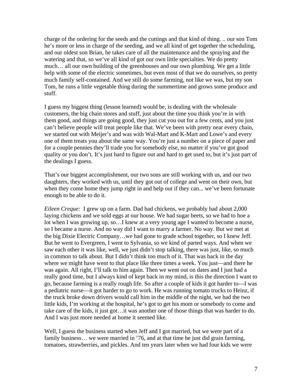charge of the ordering for the seeds and the cuttings and that kind of thing. .. our son Tom he's more or less in charge of the seeding, and we all kind of get together the scheduling, and our oldest son Brian, he takes care of all the maintenance and the spraying and the watering and that, so we've all kind of got our own little specialties. We do pretty much… all our own building of the greenhouses and our own plumbing. We get a little help with some of the electric sometimes, but even most of that we do ourselves, so pretty much family self-contained. And we still do some farming, not like we was, but my son Tom, he runs a little vegetable thing during the summertime and grows some produce and stuff.

I guess my biggest thing (lesson learned) would be, is dealing with the wholesale customers, the big chain stores and stuff, just about the time you think you're in with them good, and things are going good, they just cut you out for a few cents, and you just can't believe people will treat people like that. We've been with pretty near every chain, we started out with Meijer's and was with Wal-Mart and K-Mart and Lowe's and every one of them treats you about the same way. You're just a number on a piece of paper and for a couple pennies they'll trade you for somebody else, no matter if you've got good quality or you don't. It's just hard to figure out and hard to get used to, but it's just part of the dealings I guess.

That's our biggest accomplishment, our two sons are still working with us, and our two daughters, they worked with us, until they got out of college and went on their own, but when they come home they jump right in and help out if they can... we've been fortunate enough to be able to do it.

*Eileen Creque:* I grew up on a farm. Dad had chickens, we probably had about 2,000 laying chickens and we sold eggs at our house. We had sugar beets, so we had to hoe a lot when I was growing up, so…I knew at a very young age I wanted to become a nurse, so I became a nurse. And no way did I want to marry a farmer. No way. But we met at the big Dixie Electric Company…we had gone to grade school together, so I knew Jeff. But he went to Evergreen, I went to Sylvania, so we kind of parted ways. And when we saw each other it was like, well, we just didn't stop talking, there was just, like, so much in common to talk about. But I didn't think too much of it. That was back in the day where we might have went to that place like three times a week. You just—and there he was again. All right, I'll talk to him again. Then we went out on dates and I just had a really good time, but I always kind of kept back in my mind, is this the direction I want to go, because farming is a really rough life. So after a couple of kids it got harder to—I was a pediatric nurse—it got harder to go to work. He was running tomato trucks to Heinz, if the truck broke down drivers would call him in the middle of the night, we had the two little kids, I'm working at the hospital, he's got to get his mom or somebody to come and take care of the kids, it just got…it was another one of those things that was harder to do. And I was just more needed at home it seemed like.

Well, I guess the business started when Jeff and I got married, but we were part of a family business… we were married in '76, and at that time he just did grain farming, tomatoes, strawberries, and pickles. And ten years later when we had four kids we were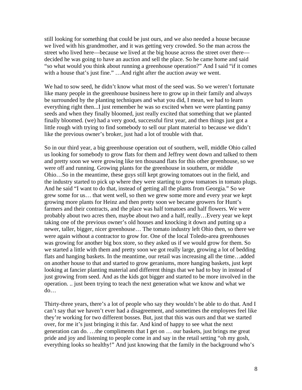still looking for something that could be just ours, and we also needed a house because we lived with his grandmother, and it was getting very crowded. So the man across the street who lived here—because we lived at the big house across the street over there decided he was going to have an auction and sell the place. So he came home and said "so what would you think about running a greenhouse operation?" And I said "if it comes with a house that's just fine." ... And right after the auction away we went.

We had to sow seed, he didn't know what most of the seed was. So we weren't fortunate like many people in the greenhouse business here to grow up in their family and always be surrounded by the planting techniques and what you did, I mean, we had to learn everything right then...I just remember he was so excited when we were planting pansy seeds and when they finally bloomed, just really excited that something that we planted finally bloomed. (we) had a very good, successful first year, and then things just got a little rough with trying to find somebody to sell our plant material to because we didn't like the previous owner's broker, just had a lot of trouble with that.

So in our third year, a big greenhouse operation out of southern, well, middle Ohio called us looking for somebody to grow flats for them and Jeffrey went down and talked to them and pretty soon we were growing like ten thousand flats for this other greenhouse, so we were off and running. Growing plants for the greenhouse in southern, or middle Ohio…So in the meantime, these guys still kept growing tomatoes out in the field, and the industry started to pick up where they were starting to grow tomatoes in tomato plugs. And he said "I want to do that, instead of getting all the plants from Georgia." So we grew some for us… that went well, so then we grew some more and every year we kept growing more plants for Heinz and then pretty soon we became growers for Hunt's farmers and their contracts, and the place was half tomatoes and half flowers. We were probably about two acres then, maybe about two and a half, really…Every year we kept taking one of the previous owner's old houses and knocking it down and putting up a newer, taller, bigger, nicer greenhouse… The tomato industry left Ohio then, so there we were again without a contractor to grow for. One of the local Toledo-area greenhouses was growing for another big box store, so they asked us if we would grow for them. So we started a little with them and pretty soon we got really large, growing a lot of bedding flats and hanging baskets. In the meantime, our retail was increasing all the time…added on another house to that and started to grow geraniums, more hanging baskets, just kept looking at fancier planting material and different things that we had to buy in instead of just growing from seed. And as the kids got bigger and started to be more involved in the operation. .. just been trying to teach the next generation what we know and what we do…

Thirty-three years, there's a lot of people who say they wouldn't be able to do that. And I can't say that we haven't ever had a disagreement, and sometimes the employees feel like they're working for two different bosses. But, just that this was ours and that we started over, for me it's just bringing it this far. And kind of happy to see what the next generation can do. …the compliments that I get on … our baskets, just brings me great pride and joy and listening to people come in and say in the retail setting "oh my gosh, everything looks so healthy!" And just knowing that the family in the background who's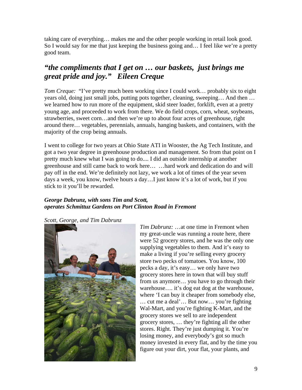taking care of everything… makes me and the other people working in retail look good. So I would say for me that just keeping the business going and… I feel like we're a pretty good team.

# *"the compliments that I get on … our baskets, just brings me great pride and joy." Eileen Creque*

*Tom Creque:* "I've pretty much been working since I could work... probably six to eight years old, doing just small jobs, putting pots together, cleaning, sweeping… And then … we learned how to run more of the equipment, skid steer loader, forklift, even at a pretty young age, and proceeded to work from there. We do field crops, corn, wheat, soybeans, strawberries, sweet corn…and then we're up to about four acres of greenhouse, right around there… vegetables, perennials, annuals, hanging baskets, and containers, with the majority of the crop being annuals.

I went to college for two years at Ohio State ATI in Wooster, the Ag Tech Institute, and got a two year degree in greenhouse production and management. So from that point on I pretty much knew what I was going to do.... I did an outside internship at another greenhouse and still came back to work here… …hard work and dedication do and will pay off in the end. We're definitely not lazy, we work a lot of times of the year seven days a week, you know, twelve hours a day…I just know it's a lot of work, but if you stick to it you'll be rewarded.

#### *George Dabrunz, with sons Tim and Scott, operates Schmittuz Gardens on Port Clinton Road in Fremont*

*Scott, George, and Tim Dabrunz* 



*Tim Dabrunz:* …at one time in Fremont when my great-uncle was running a route here, there were 52 grocery stores, and he was the only one supplying vegetables to them. And it's easy to make a living if you're selling every grocery store two pecks of tomatoes. You know, 100 pecks a day, it's easy… we only have two grocery stores here in town that will buy stuff from us anymore… you have to go through their warehouse…. it's dog eat dog at the warehouse, where 'I can buy it cheaper from somebody else, … cut me a deal'… But now… you're fighting Wal-Mart, and you're fighting K-Mart, and the grocery stores we sell to are independent grocery stores, … they're fighting all the other stores. Right. They're just dumping it. You're losing money, and everybody's got so much money invested in every flat, and by the time you figure out your dirt, your flat, your plants, and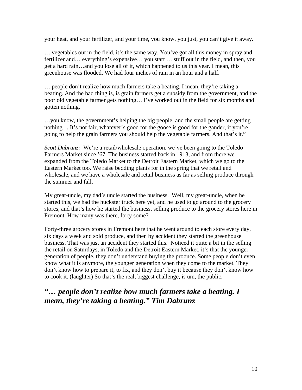your heat, and your fertilizer, and your time, you know, you just, you can't give it away.

… vegetables out in the field, it's the same way. You've got all this money in spray and fertilizer and… everything's expensive… you start … stuff out in the field, and then, you get a hard rain…and you lose all of it, which happened to us this year. I mean, this greenhouse was flooded. We had four inches of rain in an hour and a half.

… people don't realize how much farmers take a beating. I mean, they're taking a beating. And the bad thing is, is grain farmers get a subsidy from the government, and the poor old vegetable farmer gets nothing… I've worked out in the field for six months and gotten nothing.

…you know, the government's helping the big people, and the small people are getting nothing. .. It's not fair, whatever's good for the goose is good for the gander, if you're going to help the grain farmers you should help the vegetable farmers. And that's it."

*Scott Dabrunz:* We're a retail/wholesale operation, we've been going to the Toledo Farmers Market since '67. The business started back in 1913, and from there we expanded from the Toledo Market to the Detroit Eastern Market, which we go to the Eastern Market too. We raise bedding plants for in the spring that we retail and wholesale, and we have a wholesale and retail business as far as selling produce through the summer and fall.

My great-uncle, my dad's uncle started the business. Well, my great-uncle, when he started this, we had the huckster truck here yet, and he used to go around to the grocery stores, and that's how he started the business, selling produce to the grocery stores here in Fremont. How many was there, forty some?

Forty-three grocery stores in Fremont here that he went around to each store every day, six days a week and sold produce, and then by accident they started the greenhouse business. That was just an accident they started this. Noticed it quite a bit in the selling the retail on Saturdays, in Toledo and the Detroit Eastern Market, it's that the younger generation of people, they don't understand buying the produce. Some people don't even know what it is anymore, the younger generation when they come to the market. They don't know how to prepare it, to fix, and they don't buy it because they don't know how to cook it. (laughter) So that's the real, biggest challenge, is um, the public.

### *"… people don't realize how much farmers take a beating. I mean, they're taking a beating." Tim Dabrunz*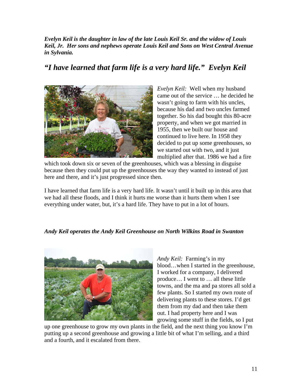*Evelyn Keil is the daughter in law of the late Louis Keil Sr. and the widow of Louis Keil, Jr. Her sons and nephews operate Louis Keil and Sons on West Central Avenue in Sylvania.* 

# *"I have learned that farm life is a very hard life." Evelyn Keil*



*Evelyn Keil:* Well when my husband came out of the service … he decided he wasn't going to farm with his uncles, because his dad and two uncles farmed together. So his dad bought this 80-acre property, and when we got married in 1955, then we built our house and continued to live here. In 1958 they decided to put up some greenhouses, so we started out with two, and it just multiplied after that. 1986 we had a fire

which took down six or seven of the greenhouses, which was a blessing in disguise because then they could put up the greenhouses the way they wanted to instead of just here and there, and it's just progressed since then.

I have learned that farm life is a very hard life. It wasn't until it built up in this area that we had all these floods, and I think it hurts me worse than it hurts them when I see everything under water, but, it's a hard life. They have to put in a lot of hours.

#### *Andy Keil operates the Andy Keil Greenhouse on North Wilkins Road in Swanton*



*Andy Keil:* Farming's in my blood…when I started in the greenhouse, I worked for a company, I delivered produce… I went to … all these little towns, and the ma and pa stores all sold a few plants. So I started my own route of delivering plants to these stores. I'd get them from my dad and then take them out. I had property here and I was growing some stuff in the fields, so I put

up one greenhouse to grow my own plants in the field, and the next thing you know I'm putting up a second greenhouse and growing a little bit of what I'm selling, and a third and a fourth, and it escalated from there.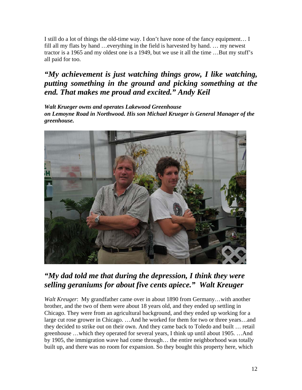I still do a lot of things the old-time way. I don't have none of the fancy equipment… I fill all my flats by hand …everything in the field is harvested by hand. … my newest tractor is a 1965 and my oldest one is a 1949, but we use it all the time …But my stuff's all paid for too.

# *"My achievement is just watching things grow, I like watching, putting something in the ground and picking something at the end. That makes me proud and excited." Andy Keil*

*Walt Krueger owns and operates Lakewood Greenhouse on Lemoyne Road in Northwood. His son Michael Krueger is General Manager of the greenhouse.* 



# *"My dad told me that during the depression, I think they were selling geraniums for about five cents apiece." Walt Kreuger*

*Walt Kreuger*: My grandfather came over in about 1890 from Germany…with another brother, and the two of them were about 18 years old, and they ended up settling in Chicago. They were from an agricultural background, and they ended up working for a large cut rose grower in Chicago. …And he worked for them for two or three years…and they decided to strike out on their own. And they came back to Toledo and built … retail greenhouse …which they operated for several years, I think up until about 1905. …And by 1905, the immigration wave had come through… the entire neighborhood was totally built up, and there was no room for expansion. So they bought this property here, which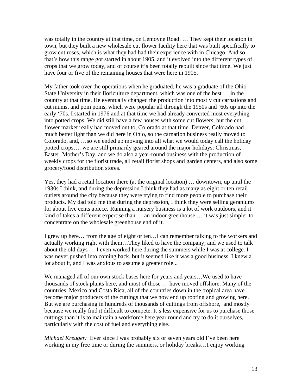was totally in the country at that time, on Lemoyne Road. … They kept their location in town, but they built a new wholesale cut flower facility here that was built specifically to grow cut roses, which is what they had had their experience with in Chicago. And so that's how this range got started in about 1905, and it evolved into the different types of crops that we grow today, and of course it's been totally rebuilt since that time. We just have four or five of the remaining houses that were here in 1905.

My father took over the operations when he graduated, he was a graduate of the Ohio State University in their floriculture department, which was one of the best … in the country at that time. He eventually changed the production into mostly cut carnations and cut mums, and pom poms, which were popular all through the 1950s and '60s up into the early '70s. I started in 1976 and at that time we had already converted most everything into potted crops. We did still have a few houses with some cut flowers, but the cut flower market really had moved out to, Colorado at that time. Denver, Colorado had much better light than we did here in Ohio, so the carnation business really moved to Colorado, and, …so we ended up moving into all what we would today call the holiday potted crops…. we are still primarily geared around the major holidays: Christmas, Easter, Mother's Day, and we do also a year-round business with the production of weekly crops for the florist trade, all retail florist shops and garden centers, and also some grocery/food distribution stores.

Yes, they had a retail location there (at the original location) … downtown, up until the 1930s I think, and during the depression I think they had as many as eight or ten retail outlets around the city because they were trying to find more people to purchase their products. My dad told me that during the depression, I think they were selling geraniums for about five cents apiece. Running a nursery business is a lot of work outdoors, and it kind of takes a different expertise than … an indoor greenhouse … it was just simpler to concentrate on the wholesale greenhouse end of it.

I grew up here… from the age of eight or ten…I can remember talking to the workers and actually working right with them…They liked to have the company, and we used to talk about the old days … I even worked here during the summers while I was at college. I was never pushed into coming back, but it seemed like it was a good business, I knew a lot about it, and I was anxious to assume a greater role...

We managed all of our own stock bases here for years and years…We used to have thousands of stock plants here, and most of those … have moved offshore. Many of the countries, Mexico and Costa Rica, all of the countries down in the tropical area have become major producers of the cuttings that we now end up rooting and growing here. But we are purchasing in hundreds of thousands of cuttings from offshore, and mostly because we really find it difficult to compete. It's less expensive for us to purchase those cuttings than it is to maintain a workforce here year round and try to do it ourselves, particularly with the cost of fuel and everything else.

*Michael Kreuger:* Ever since I was probably six or seven years old I've been here working in my free time or during the summers, or holiday breaks…I enjoy working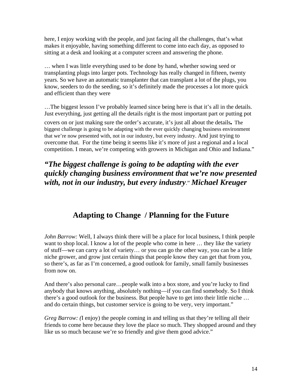here, I enjoy working with the people, and just facing all the challenges, that's what makes it enjoyable, having something different to come into each day, as opposed to sitting at a desk and looking at a computer screen and answering the phone.

… when I was little everything used to be done by hand, whether sowing seed or transplanting plugs into larger pots. Technology has really changed in fifteen, twenty years. So we have an automatic transplanter that can transplant a lot of the plugs, you know, seeders to do the seeding, so it's definitely made the processes a lot more quick and efficient than they were

…The biggest lesson I've probably learned since being here is that it's all in the details. Just everything, just getting all the details right is the most important part or putting pot

covers on or just making sure the order's accurate, it's just all about the details*.* The biggest challenge is going to be adapting with the ever quickly changing business environment that we're now presented with, not in our industry, but every industry. And just trying to overcome that. For the time being it seems like it's more of just a regional and a local competition. I mean, we're competing with growers in Michigan and Ohio and Indiana."

# *"The biggest challenge is going to be adapting with the ever quickly changing business environment that we're now presented with, not in our industry, but every industry*." *Michael Kreuger*

# **Adapting to Change / Planning for the Future**

*John Barrow:* Well, I always think there will be a place for local business, I think people want to shop local. I know a lot of the people who come in here ... they like the variety of stuff—we can carry a lot of variety… or you can go the other way, you can be a little niche grower, and grow just certain things that people know they can get that from you, so there's, as far as I'm concerned, a good outlook for family, small family businesses from now on.

And there's also personal care…people walk into a box store, and you're lucky to find anybody that knows anything, absolutely nothing—if you can find somebody. So I think there's a good outlook for the business. But people have to get into their little niche … and do certain things, but customer service is going to be very, very important."

*Greg Barrow: (*I enjoy) the people coming in and telling us that they're telling all their friends to come here because they love the place so much. They shopped around and they like us so much because we're so friendly and give them good advice."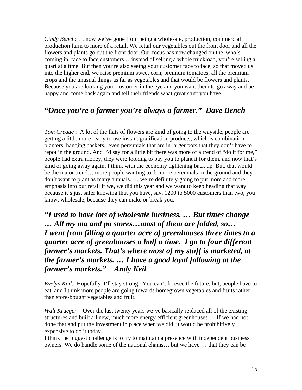*Cindy Bench:* … now we've gone from being a wholesale, production, commercial production farm to more of a retail. We retail our vegetables out the front door and all the flowers and plants go out the front door. Our focus has now changed on the, who's coming in, face to face customers …instead of selling a whole truckload, you're selling a quart at a time. But then you're also seeing your customer face to face, so that moved us into the higher end, we raise premium sweet corn, premium tomatoes, all the premium crops and the unusual things as far as vegetables and that would be flowers and plants. Because you are looking your customer in the eye and you want them to go away and be happy and come back again and tell their friends what great stuff you have.

### *"Once you're a farmer you're always a farmer." Dave Bench*

*Tom Creque* : A lot of the flats of flowers are kind of going to the wayside, people are getting a little more ready to use instant gratification products, which is combination planters, hanging baskets, even perennials that are in larger pots that they don't have to repot in the ground. And I'd say for a little bit there was more of a trend of "do it for me," people had extra money, they were looking to pay you to plant it for them, and now that's kind of going away again, I think with the economy tightening back up. But, that would be the major trend… more people wanting to do more perennials in the ground and they don't want to plant as many annuals. … we're definitely going to put more and more emphasis into our retail if we, we did this year and we want to keep heading that way because it's just safer knowing that you have, say, 1200 to 5000 customers than two, you know, wholesale, because they can make or break you.

*"I used to have lots of wholesale business. … But times change … All my ma and pa stores…most of them are folded, so… I went from filling a quarter acre of greenhouses three times to a quarter acre of greenhouses a half a time. I go to four different farmer's markets. That's where most of my stuff is marketed, at the farmer's markets. … I have a good loyal following at the farmer's markets." Andy Keil* 

*Evelyn Keil:* Hopefully it'll stay strong. You can't foresee the future, but, people have to eat, and I think more people are going towards homegrown vegetables and fruits rather than store-bought vegetables and fruit.

*Walt Krueger* : Over the last twenty years we've basically replaced all of the existing structures and built all new, much more energy efficient greenhouses … If we had not done that and put the investment in place when we did, it would be prohibitively expensive to do it today.

I think the biggest challenge is to try to maintain a presence with independent business owners. We do handle some of the national chains… but we have … that they can be